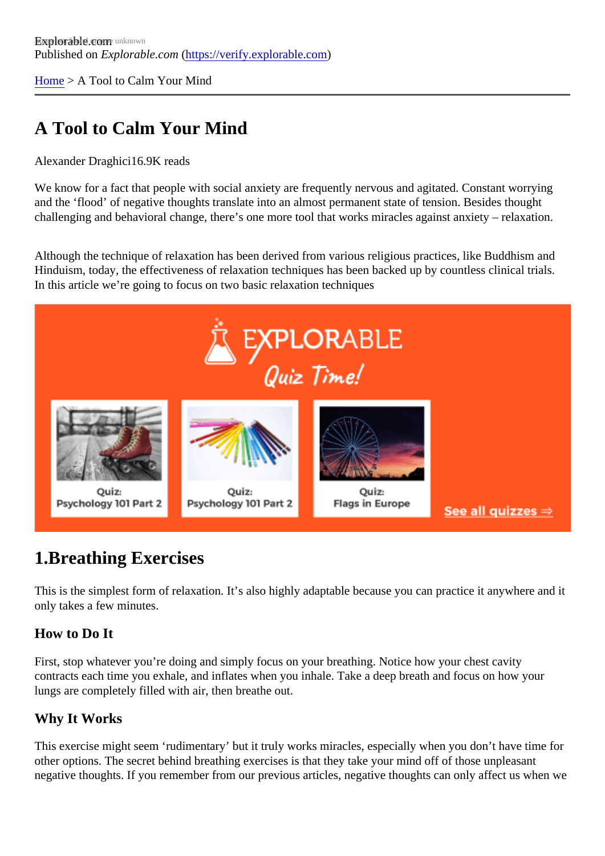[Home](https://verify.explorable.com/) > A Tool to Calm Your Mind

# A Tool to Calm Your Mind

#### Alexander Draghidi6.9K reads

We know for a fact that people with social anxiety are frequently nervous and agitated. Constant worrying and the 'flood' of negative thoughts translate into an almost permanent state of tension. Besides thought challenging and behavioral change, there's one more tool that works miracles against anxiety – relaxation.

Although the technique of relaxation has been derived from various religious practices, like Buddhism and Hinduism, today, the effectiveness of relaxation techniques has been backed up by countless clinical trials. In this article we're going to focus on two basic relaxation techniques

## 1.Breathing Exercises

This is the simplest form of relaxation. It's also highly adaptable because you can practice it anywhere and only takes a few minutes.

#### How to Do It

First, stop whatever you're doing and simply focus on your breathing. Notice how your chest cavity contracts each time you exhale, and inflates when you inhale. Take a deep breath and focus on how your lungs are completely filled with air, then breathe out.

#### Why It Works

This exercise might seem 'rudimentary' but it truly works miracles, especially when you don't have time for other options. The secret behind breathing exercises is that they take your mind off of those unpleasant negative thoughts. If you remember from our previous articles, negative thoughts can only affect us when